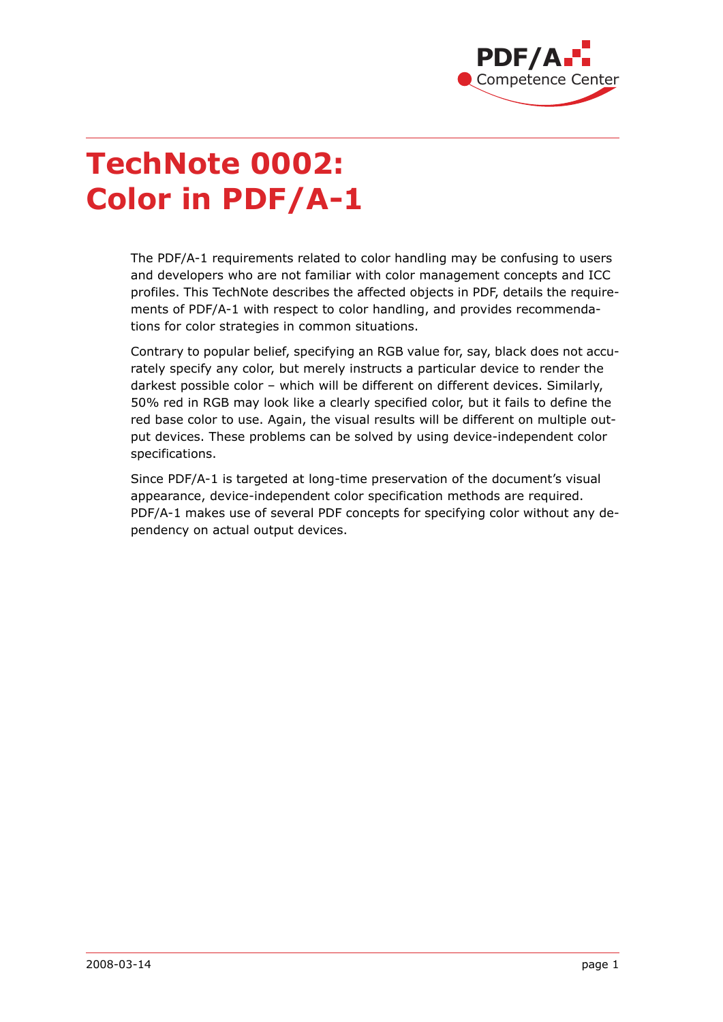

# **TechNote 0002: Color in PDF/A-1**

The PDF/A-1 requirements related to color handling may be confusing to users and developers who are not familiar with color management concepts and ICC profiles. This TechNote describes the affected objects in PDF, details the requirements of PDF/A-1 with respect to color handling, and provides recommendations for color strategies in common situations.

Contrary to popular belief, specifying an RGB value for, say, black does not accurately specify any color, but merely instructs a particular device to render the darkest possible color – which will be different on different devices. Similarly, 50% red in RGB may look like a clearly specified color, but it fails to define the red base color to use. Again, the visual results will be different on multiple output devices. These problems can be solved by using device-independent color specifications.

Since PDF/A-1 is targeted at long-time preservation of the document's visual appearance, device-independent color specification methods are required. PDF/A-1 makes use of several PDF concepts for specifying color without any dependency on actual output devices.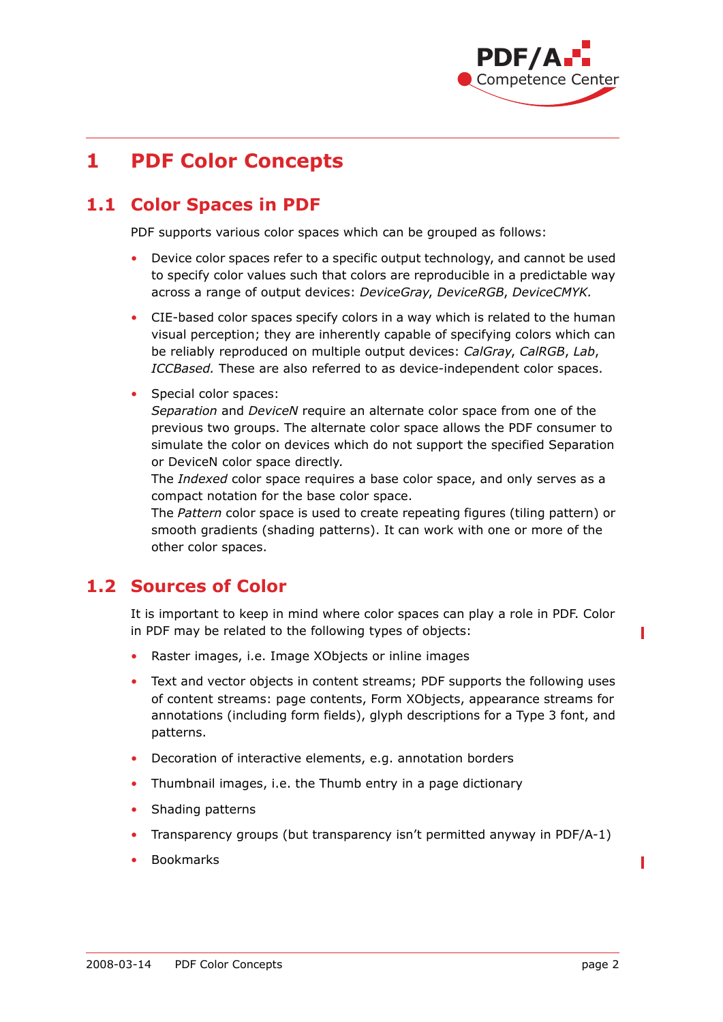

## **1 PDF Color Concepts**

#### **1.1 Color Spaces in PDF**

PDF supports various color spaces which can be grouped as follows:

- Device color spaces refer to a specific output technology, and cannot be used to specify color values such that colors are reproducible in a predictable way across a range of output devices: *DeviceGray*, *DeviceRGB*, *DeviceCMYK.*
- CIE-based color spaces specify colors in a way which is related to the human visual perception; they are inherently capable of specifying colors which can be reliably reproduced on multiple output devices: *CalGray*, *CalRGB*, *Lab*, *ICCBased.* These are also referred to as device-independent color spaces.
- Special color spaces:

*Separation* and *DeviceN* require an alternate color space from one of the previous two groups. The alternate color space allows the PDF consumer to simulate the color on devices which do not support the specified Separation or DeviceN color space directly.

The *Indexed* color space requires a base color space, and only serves as a compact notation for the base color space.

The *Pattern* color space is used to create repeating figures (tiling pattern) or smooth gradients (shading patterns). It can work with one or more of the other color spaces.

#### **1.2 Sources of Color**

It is important to keep in mind where color spaces can play a role in PDF. Color in PDF may be related to the following types of objects:

- Raster images, i.e. Image XObjects or inline images
- Text and vector objects in content streams; PDF supports the following uses of content streams: page contents, Form XObjects, appearance streams for annotations (including form fields), glyph descriptions for a Type 3 font, and patterns.
- Decoration of interactive elements, e.g. annotation borders
- Thumbnail images, i.e. the Thumb entry in a page dictionary
- Shading patterns
- Transparency groups (but transparency isn't permitted anyway in PDF/A-1)
- Bookmarks

Π

Π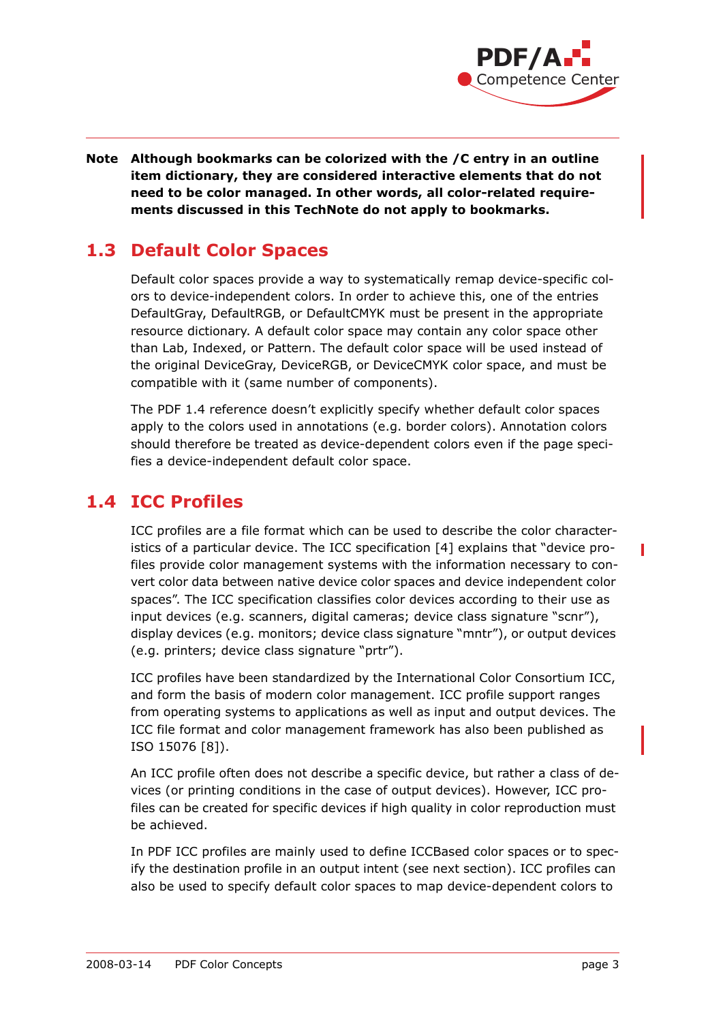

#### **Note Although bookmarks can be colorized with the /C entry in an outline item dictionary, they are considered interactive elements that do not need to be color managed. In other words, all color-related requirements discussed in this TechNote do not apply to bookmarks.**

#### **1.3 Default Color Spaces**

Default color spaces provide a way to systematically remap device-specific colors to device-independent colors. In order to achieve this, one of the entries DefaultGray, DefaultRGB, or DefaultCMYK must be present in the appropriate resource dictionary. A default color space may contain any color space other than Lab, Indexed, or Pattern. The default color space will be used instead of the original DeviceGray, DeviceRGB, or DeviceCMYK color space, and must be compatible with it (same number of components).

The PDF 1.4 reference doesn't explicitly specify whether default color spaces apply to the colors used in annotations (e.g. border colors). Annotation colors should therefore be treated as device-dependent colors even if the page specifies a device-independent default color space.

### **1.4 ICC Profiles**

ICC profiles are a file format which can be used to describe the color characteristics of a particular device. The ICC specification [\[4\]](#page-11-0) explains that "device profiles provide color management systems with the information necessary to convert color data between native device color spaces and device independent color spaces". The ICC specification classifies color devices according to their use as input devices (e.g. scanners, digital cameras; device class signature "scnr"), display devices (e.g. monitors; device class signature "mntr"), or output devices (e.g. printers; device class signature "prtr").

ICC profiles have been standardized by the International Color Consortium ICC, and form the basis of modern color management. ICC profile support ranges from operating systems to applications as well as input and output devices. The ICC file format and color management framework has also been published as ISO 15076 [\[8\]\)](#page-11-1).

An ICC profile often does not describe a specific device, but rather a class of devices (or printing conditions in the case of output devices). However, ICC profiles can be created for specific devices if high quality in color reproduction must be achieved.

In PDF ICC profiles are mainly used to define ICCBased color spaces or to specify the destination profile in an output intent (see next section). ICC profiles can also be used to specify default color spaces to map device-dependent colors to

Γ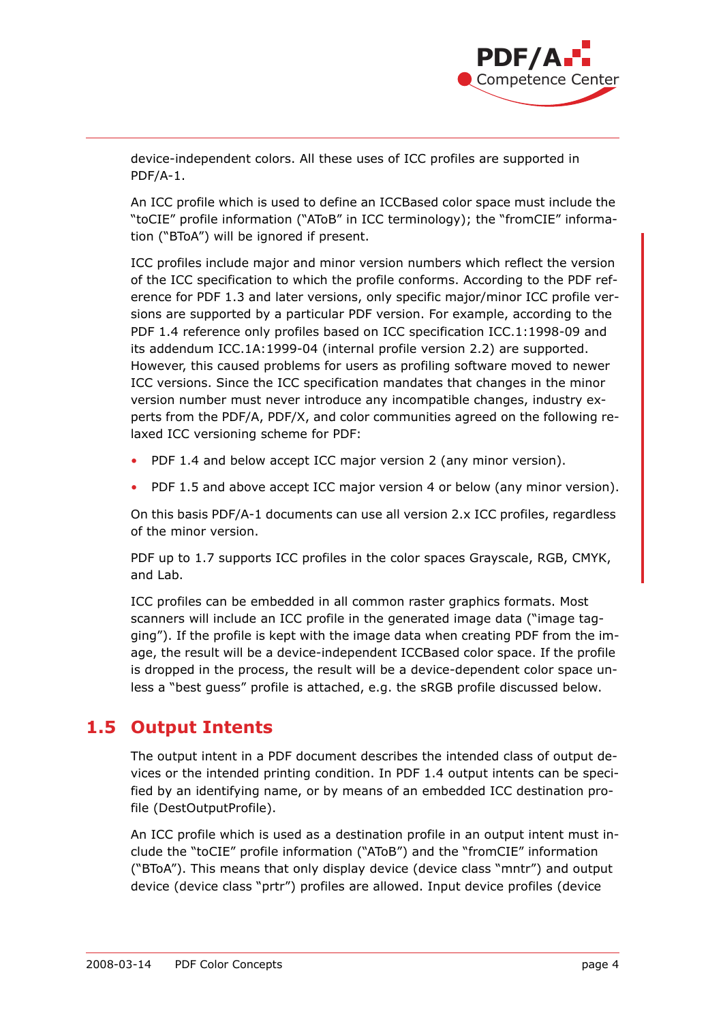

device-independent colors. All these uses of ICC profiles are supported in PDF/A-1.

An ICC profile which is used to define an ICCBased color space must include the "toCIE" profile information ("AToB" in ICC terminology); the "fromCIE" information ("BToA") will be ignored if present.

ICC profiles include major and minor version numbers which reflect the version of the ICC specification to which the profile conforms. According to the PDF reference for PDF 1.3 and later versions, only specific major/minor ICC profile versions are supported by a particular PDF version. For example, according to the PDF 1.4 reference only profiles based on ICC specification ICC.1:1998-09 and its addendum ICC.1A:1999-04 (internal profile version 2.2) are supported. However, this caused problems for users as profiling software moved to newer ICC versions. Since the ICC specification mandates that changes in the minor version number must never introduce any incompatible changes, industry experts from the PDF/A, PDF/X, and color communities agreed on the following relaxed ICC versioning scheme for PDF:

- PDF 1.4 and below accept ICC major version 2 (any minor version).
- PDF 1.5 and above accept ICC major version 4 or below (any minor version).

On this basis PDF/A-1 documents can use all version 2.x ICC profiles, regardless of the minor version.

PDF up to 1.7 supports ICC profiles in the color spaces Grayscale, RGB, CMYK, and Lab.

ICC profiles can be embedded in all common raster graphics formats. Most scanners will include an ICC profile in the generated image data ("image tagging"). If the profile is kept with the image data when creating PDF from the image, the result will be a device-independent ICCBased color space. If the profile is dropped in the process, the result will be a device-dependent color space unless a "best guess" profile is attached, e.g. the sRGB profile discussed below.

#### **1.5 Output Intents**

The output intent in a PDF document describes the intended class of output devices or the intended printing condition. In PDF 1.4 output intents can be specified by an identifying name, or by means of an embedded ICC destination profile (DestOutputProfile).

An ICC profile which is used as a destination profile in an output intent must include the "toCIE" profile information ("AToB") and the "fromCIE" information ("BToA"). This means that only display device (device class "mntr") and output device (device class "prtr") profiles are allowed. Input device profiles (device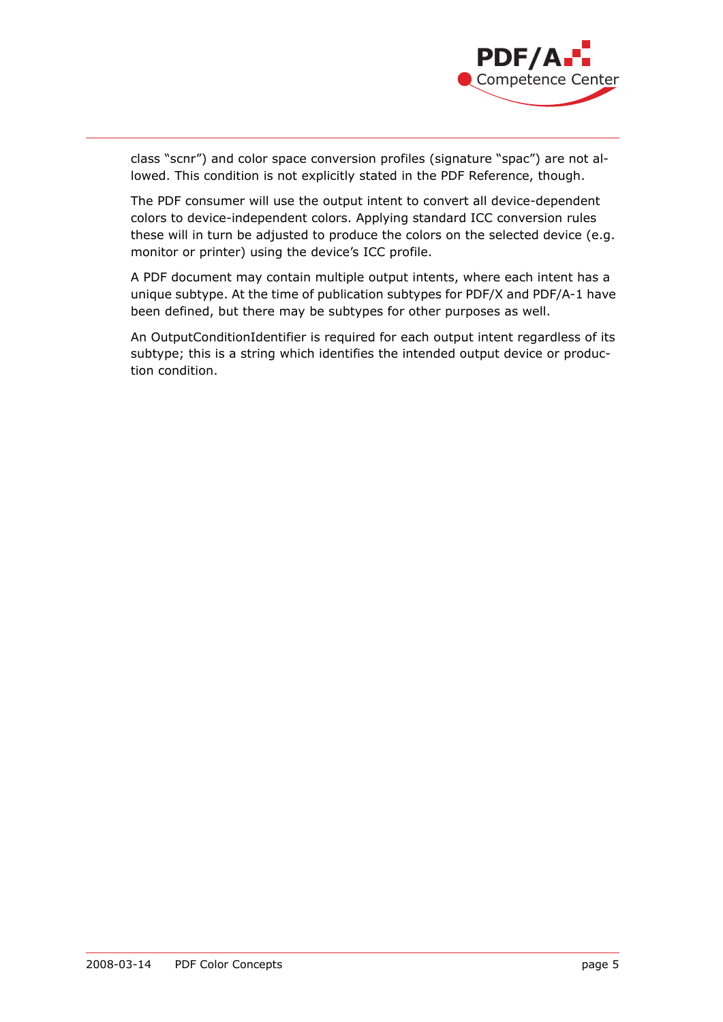

class "scnr") and color space conversion profiles (signature "spac") are not allowed. This condition is not explicitly stated in the PDF Reference, though.

The PDF consumer will use the output intent to convert all device-dependent colors to device-independent colors. Applying standard ICC conversion rules these will in turn be adjusted to produce the colors on the selected device (e.g. monitor or printer) using the device's ICC profile.

A PDF document may contain multiple output intents, where each intent has a unique subtype. At the time of publication subtypes for PDF/X and PDF/A-1 have been defined, but there may be subtypes for other purposes as well.

An OutputConditionIdentifier is required for each output intent regardless of its subtype; this is a string which identifies the intended output device or production condition.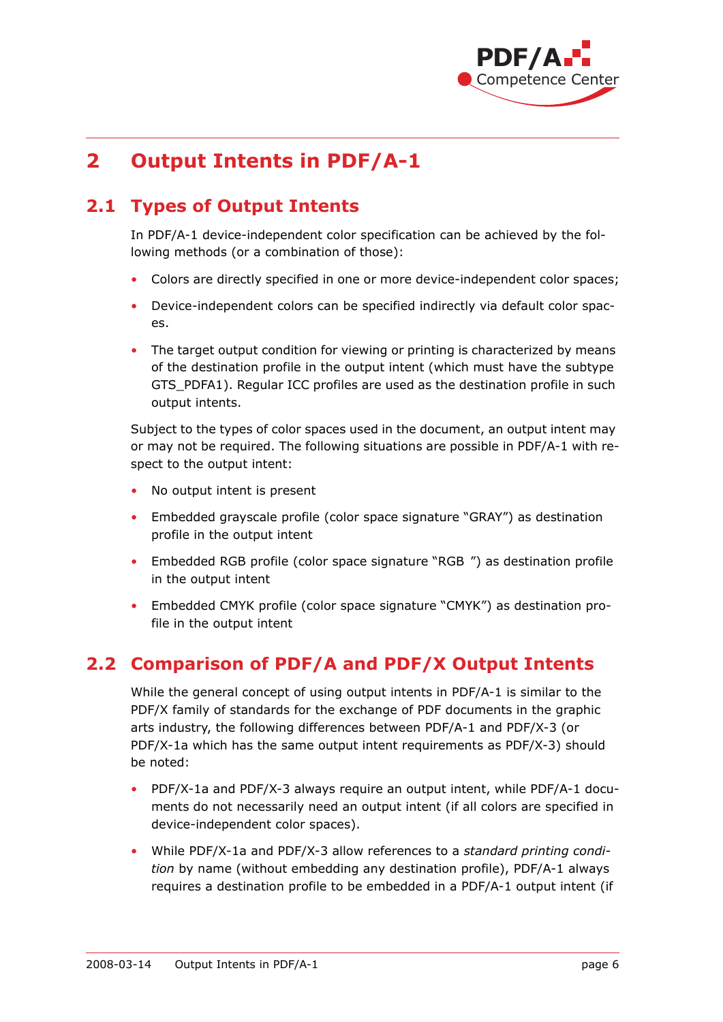

## **2 Output Intents in PDF/A-1**

#### **2.1 Types of Output Intents**

In PDF/A-1 device-independent color specification can be achieved by the following methods (or a combination of those):

- Colors are directly specified in one or more device-independent color spaces;
- Device-independent colors can be specified indirectly via default color spaces.
- The target output condition for viewing or printing is characterized by means of the destination profile in the output intent (which must have the subtype GTS\_PDFA1). Regular ICC profiles are used as the destination profile in such output intents.

Subject to the types of color spaces used in the document, an output intent may or may not be required. The following situations are possible in PDF/A-1 with respect to the output intent:

- No output intent is present
- Embedded grayscale profile (color space signature "GRAY") as destination profile in the output intent
- Embedded RGB profile (color space signature "RGB ") as destination profile in the output intent
- Embedded CMYK profile (color space signature "CMYK") as destination profile in the output intent

#### **2.2 Comparison of PDF/A and PDF/X Output Intents**

While the general concept of using output intents in PDF/A-1 is similar to the PDF/X family of standards for the exchange of PDF documents in the graphic arts industry, the following differences between PDF/A-1 and PDF/X-3 (or PDF/X-1a which has the same output intent requirements as PDF/X-3) should be noted:

- PDF/X-1a and PDF/X-3 always require an output intent, while PDF/A-1 documents do not necessarily need an output intent (if all colors are specified in device-independent color spaces).
- While PDF/X-1a and PDF/X-3 allow references to a *standard printing condition* by name (without embedding any destination profile), PDF/A-1 always requires a destination profile to be embedded in a PDF/A-1 output intent (if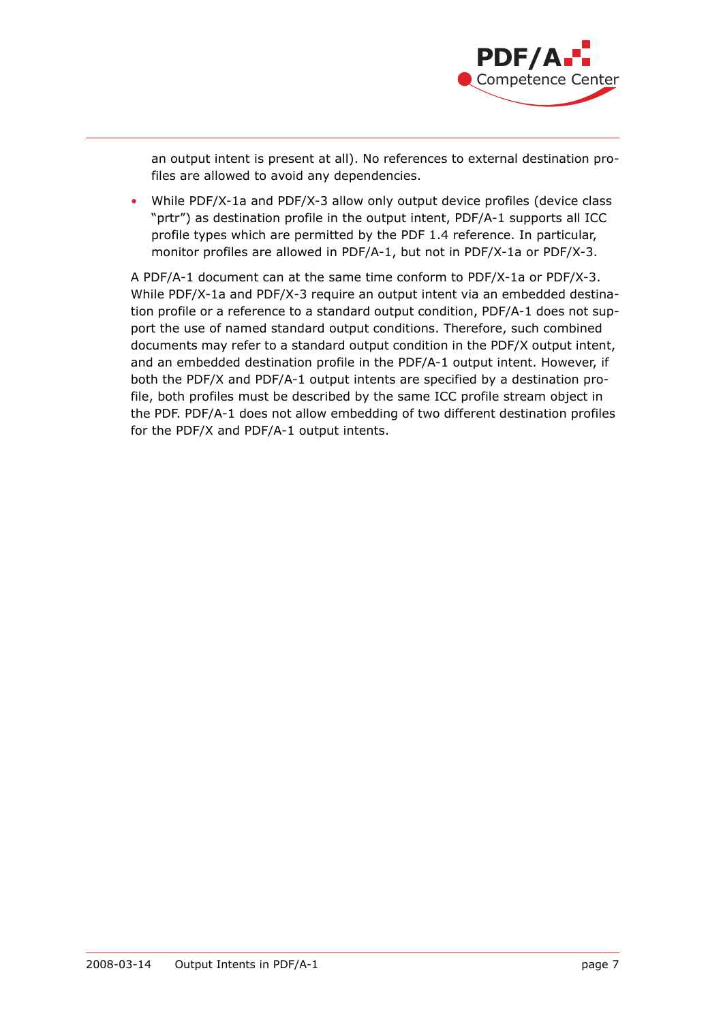

an output intent is present at all). No references to external destination profiles are allowed to avoid any dependencies.

• While PDF/X-1a and PDF/X-3 allow only output device profiles (device class "prtr") as destination profile in the output intent, PDF/A-1 supports all ICC profile types which are permitted by the PDF 1.4 reference. In particular, monitor profiles are allowed in PDF/A-1, but not in PDF/X-1a or PDF/X-3.

A PDF/A-1 document can at the same time conform to PDF/X-1a or PDF/X-3. While PDF/X-1a and PDF/X-3 require an output intent via an embedded destination profile or a reference to a standard output condition, PDF/A-1 does not support the use of named standard output conditions. Therefore, such combined documents may refer to a standard output condition in the PDF/X output intent, and an embedded destination profile in the PDF/A-1 output intent. However, if both the PDF/X and PDF/A-1 output intents are specified by a destination profile, both profiles must be described by the same ICC profile stream object in the PDF. PDF/A-1 does not allow embedding of two different destination profiles for the PDF/X and PDF/A-1 output intents.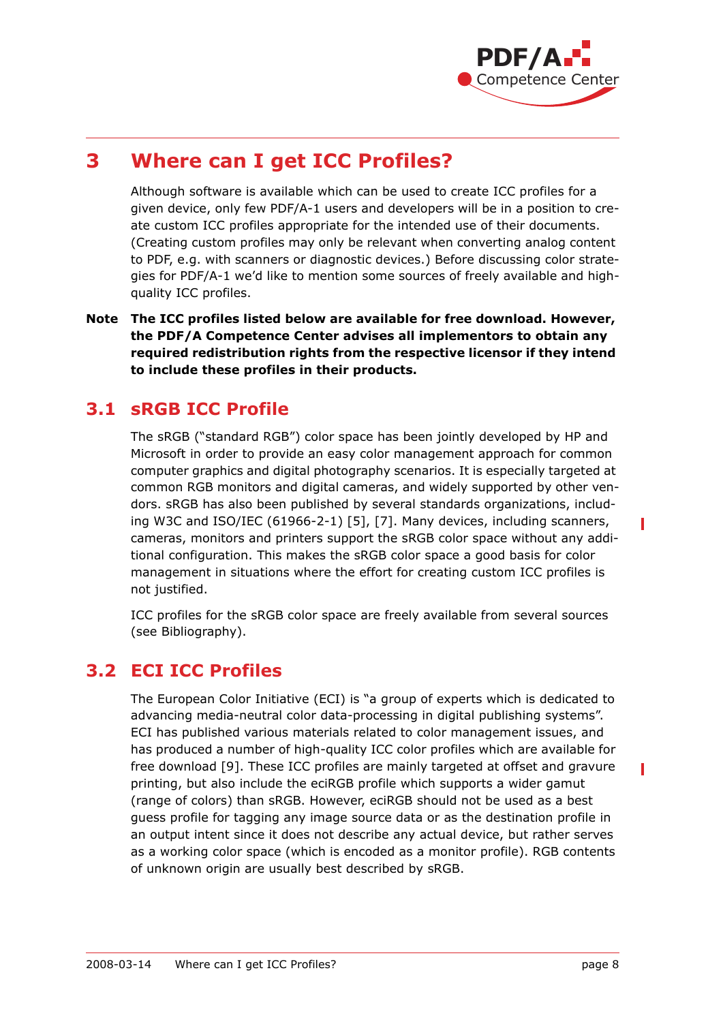

## **3 Where can I get ICC Profiles?**

Although software is available which can be used to create ICC profiles for a given device, only few PDF/A-1 users and developers will be in a position to create custom ICC profiles appropriate for the intended use of their documents. (Creating custom profiles may only be relevant when converting analog content to PDF, e.g. with scanners or diagnostic devices.) Before discussing color strategies for PDF/A-1 we'd like to mention some sources of freely available and highquality ICC profiles.

**Note The ICC profiles listed below are available for free download. However, the PDF/A Competence Center advises all implementors to obtain any required redistribution rights from the respective licensor if they intend to include these profiles in their products.**

#### **3.1 sRGB ICC Profile**

The sRGB ("standard RGB") color space has been jointly developed by HP and Microsoft in order to provide an easy color management approach for common computer graphics and digital photography scenarios. It is especially targeted at common RGB monitors and digital cameras, and widely supported by other vendors. sRGB has also been published by several standards organizations, including W3C and ISO/IEC (61966-2-1) [\[5\]](#page-11-2), [\[7\].](#page-11-3) Many devices, including scanners, cameras, monitors and printers support the sRGB color space without any additional configuration. This makes the sRGB color space a good basis for color management in situations where the effort for creating custom ICC profiles is not justified.

ICC profiles for the sRGB color space are freely available from several sources (see Bibliography).

#### **3.2 ECI ICC Profiles**

The European Color Initiative (ECI) is "a group of experts which is dedicated to advancing media-neutral color data-processing in digital publishing systems". ECI has published various materials related to color management issues, and has produced a number of high-quality ICC color profiles which are available for free download [\[9\]](#page-11-4). These ICC profiles are mainly targeted at offset and gravure printing, but also include the eciRGB profile which supports a wider gamut (range of colors) than sRGB. However, eciRGB should not be used as a best guess profile for tagging any image source data or as the destination profile in an output intent since it does not describe any actual device, but rather serves as a working color space (which is encoded as a monitor profile). RGB contents of unknown origin are usually best described by sRGB.

Π

Ī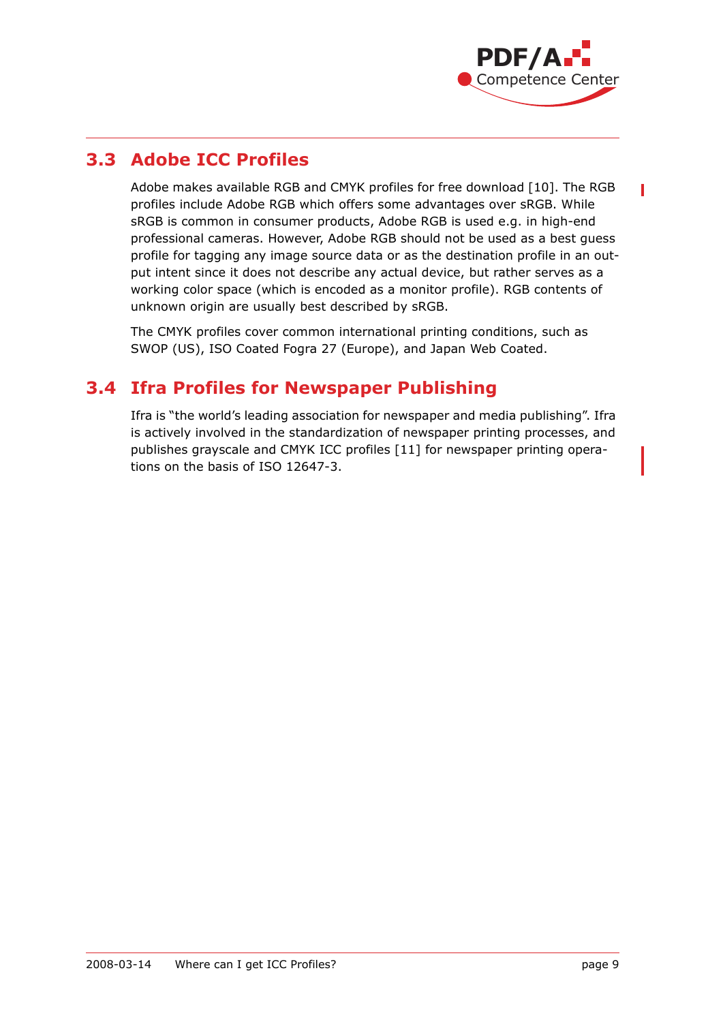

П

#### **3.3 Adobe ICC Profiles**

Adobe makes available RGB and CMYK profiles for free download [\[10\].](#page-11-5) The RGB profiles include Adobe RGB which offers some advantages over sRGB. While sRGB is common in consumer products, Adobe RGB is used e.g. in high-end professional cameras. However, Adobe RGB should not be used as a best guess profile for tagging any image source data or as the destination profile in an output intent since it does not describe any actual device, but rather serves as a working color space (which is encoded as a monitor profile). RGB contents of unknown origin are usually best described by sRGB.

The CMYK profiles cover common international printing conditions, such as SWOP (US), ISO Coated Fogra 27 (Europe), and Japan Web Coated.

#### **3.4 Ifra Profiles for Newspaper Publishing**

Ifra is "the world's leading association for newspaper and media publishing". Ifra is actively involved in the standardization of newspaper printing processes, and publishes grayscale and CMYK ICC profiles [\[11\]](#page-11-6) for newspaper printing operations on the basis of ISO 12647-3.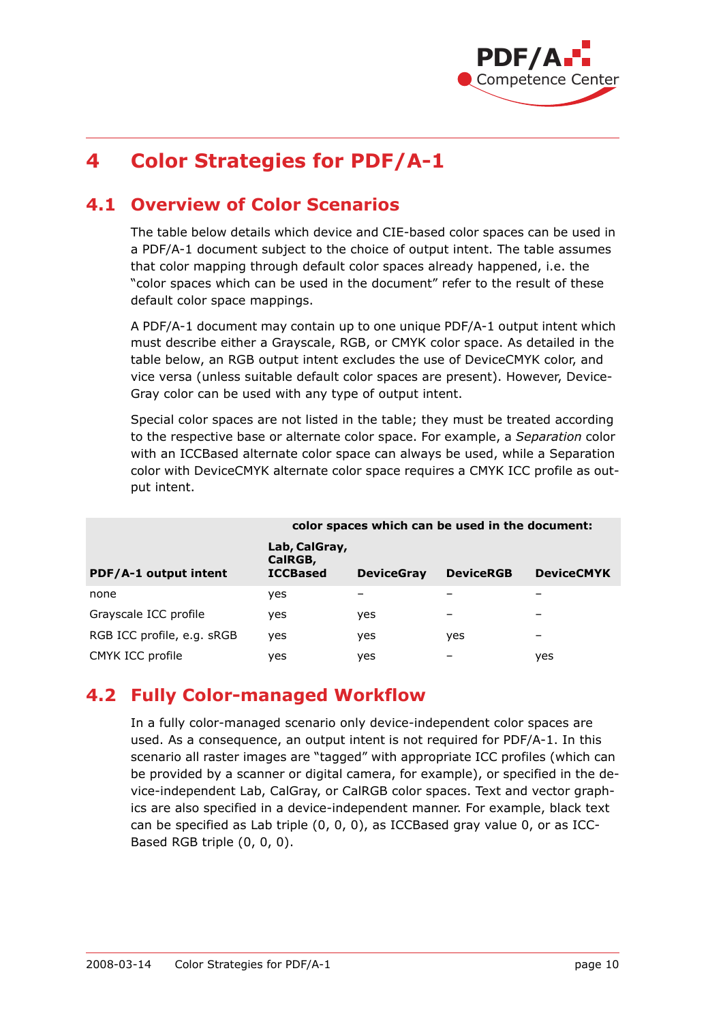

## **4 Color Strategies for PDF/A-1**

#### **4.1 Overview of Color Scenarios**

The table below details which device and CIE-based color spaces can be used in a PDF/A-1 document subject to the choice of output intent. The table assumes that color mapping through default color spaces already happened, i.e. the "color spaces which can be used in the document" refer to the result of these default color space mappings.

A PDF/A-1 document may contain up to one unique PDF/A-1 output intent which must describe either a Grayscale, RGB, or CMYK color space. As detailed in the table below, an RGB output intent excludes the use of DeviceCMYK color, and vice versa (unless suitable default color spaces are present). However, Device-Gray color can be used with any type of output intent.

Special color spaces are not listed in the table; they must be treated according to the respective base or alternate color space. For example, a *Separation* color with an ICCBased alternate color space can always be used, while a Separation color with DeviceCMYK alternate color space requires a CMYK ICC profile as output intent.

|                            | color spaces which can be used in the document: |                   |                  |                   |
|----------------------------|-------------------------------------------------|-------------------|------------------|-------------------|
| PDF/A-1 output intent      | Lab, CalGray,<br>CalRGB,<br><b>ICCBased</b>     | <b>DeviceGray</b> | <b>DeviceRGB</b> | <b>DeviceCMYK</b> |
| none                       | <b>ves</b>                                      |                   |                  |                   |
| Grayscale ICC profile      | yes                                             | yes               |                  |                   |
| RGB ICC profile, e.g. sRGB | yes                                             | yes               | yes              |                   |
| CMYK ICC profile           | yes                                             | yes               |                  | yes               |

#### **4.2 Fully Color-managed Workflow**

In a fully color-managed scenario only device-independent color spaces are used. As a consequence, an output intent is not required for PDF/A-1. In this scenario all raster images are "tagged" with appropriate ICC profiles (which can be provided by a scanner or digital camera, for example), or specified in the device-independent Lab, CalGray, or CalRGB color spaces. Text and vector graphics are also specified in a device-independent manner. For example, black text can be specified as Lab triple (0, 0, 0), as ICCBased gray value 0, or as ICC-Based RGB triple (0, 0, 0).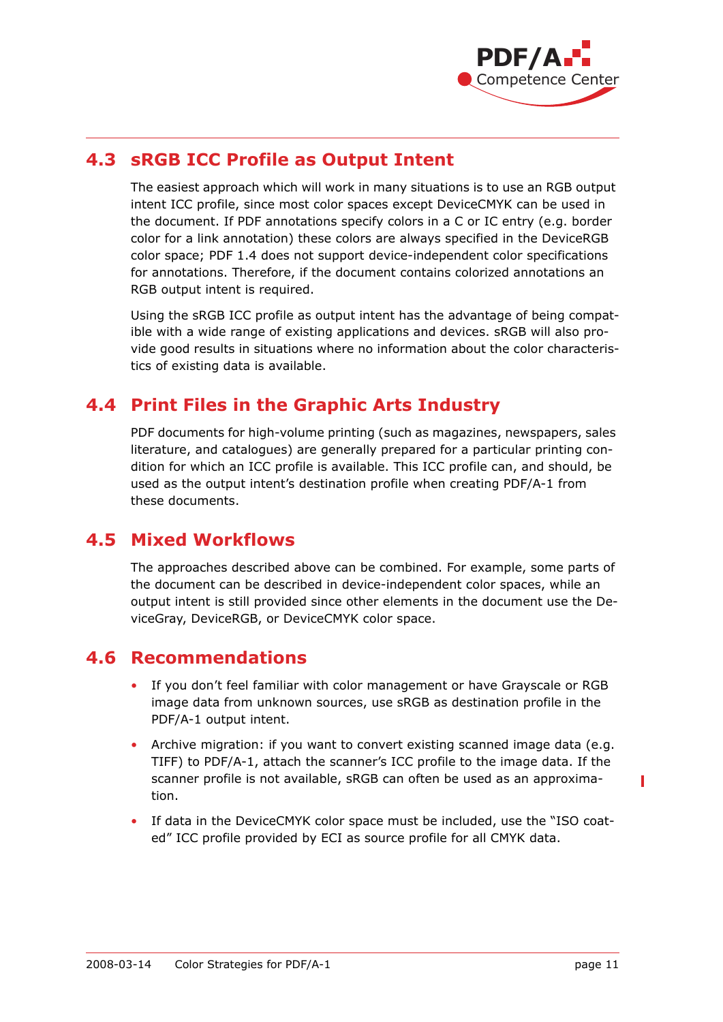

#### **4.3 sRGB ICC Profile as Output Intent**

The easiest approach which will work in many situations is to use an RGB output intent ICC profile, since most color spaces except DeviceCMYK can be used in the document. If PDF annotations specify colors in a C or IC entry (e.g. border color for a link annotation) these colors are always specified in the DeviceRGB color space; PDF 1.4 does not support device-independent color specifications for annotations. Therefore, if the document contains colorized annotations an RGB output intent is required.

Using the sRGB ICC profile as output intent has the advantage of being compatible with a wide range of existing applications and devices. sRGB will also provide good results in situations where no information about the color characteristics of existing data is available.

#### **4.4 Print Files in the Graphic Arts Industry**

PDF documents for high-volume printing (such as magazines, newspapers, sales literature, and catalogues) are generally prepared for a particular printing condition for which an ICC profile is available. This ICC profile can, and should, be used as the output intent's destination profile when creating PDF/A-1 from these documents.

#### **4.5 Mixed Workflows**

The approaches described above can be combined. For example, some parts of the document can be described in device-independent color spaces, while an output intent is still provided since other elements in the document use the DeviceGray, DeviceRGB, or DeviceCMYK color space.

#### **4.6 Recommendations**

- If you don't feel familiar with color management or have Grayscale or RGB image data from unknown sources, use sRGB as destination profile in the PDF/A-1 output intent.
- Archive migration: if you want to convert existing scanned image data (e.g. TIFF) to PDF/A-1, attach the scanner's ICC profile to the image data. If the scanner profile is not available, sRGB can often be used as an approximation.
- If data in the DeviceCMYK color space must be included, use the "ISO coated" ICC profile provided by ECI as source profile for all CMYK data.

Γ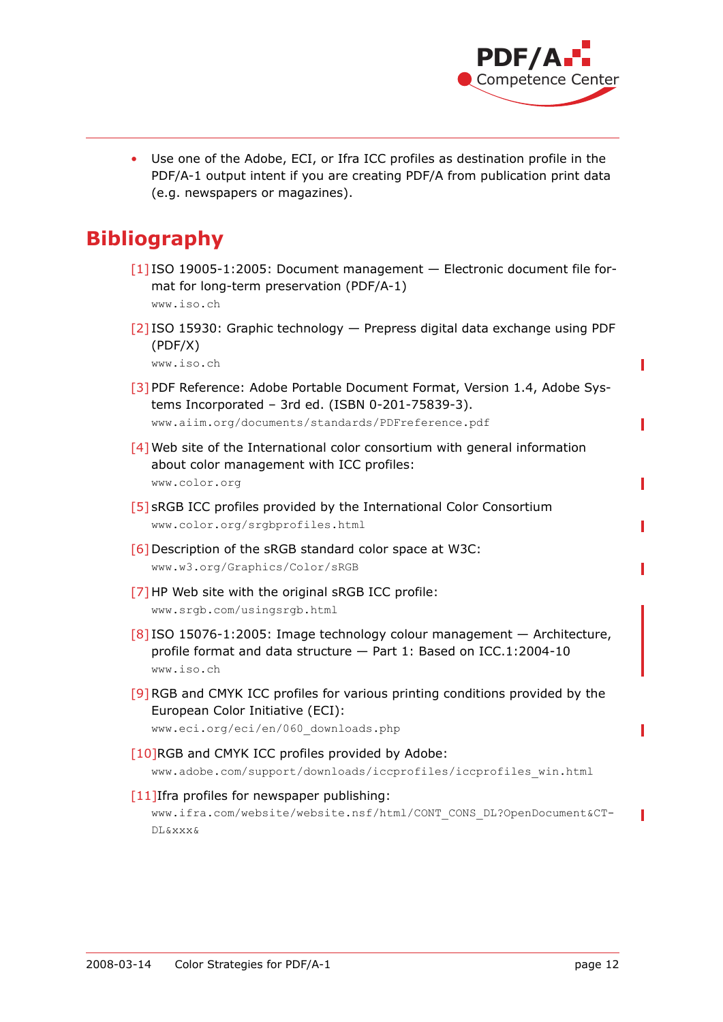

Π

Ī

Use one of the Adobe, ECI, or Ifra ICC profiles as destination profile in the PDF/A-1 output intent if you are creating PDF/A from publication print data (e.g. newspapers or magazines).

## **Bibliography**

- [1] ISO 19005-1:2005: Document management Electronic document file format for long-term preservation (PDF/A-1) [www.iso.ch](http://www.iso.ch)
- [2] ISO 15930: Graphic technology Prepress digital data exchange using PDF (PDF/X)

[www.iso.ch](http://www.iso.ch)

- [3] PDF Reference: Adobe Portable Document Format, Version 1.4, Adobe Systems Incorporated – 3rd ed. (ISBN 0-201-75839-3). [www.aiim.org/documents/standards/PDFreference.pdf](http://www.aiim.org/documents/standards/PDFreference.pdf)
- <span id="page-11-0"></span>[4] Web site of the International color consortium with general information about color management with ICC profiles: [www.color.org](http://www.color.org)
- <span id="page-11-2"></span>[5] sRGB ICC profiles provided by the International Color Consortium [www.color.org/srgbprofiles.html](http://www.color.org/srgbprofiles.html)
- [6] Description of the sRGB standard color space at W3C: [www.w3.org/Graphics/Color/sRGB](http://www.w3.org/Graphics/Color/sRGB)
- <span id="page-11-3"></span>[7] HP Web site with the original sRGB ICC profile: [www.srgb.com/usingsrgb.html](http://www.srgb.com/usingsrgb.html)
- <span id="page-11-1"></span>[8] ISO 15076-1:2005: Image technology colour management — Architecture, profile format and data structure — Part 1: Based on ICC.1:2004-10 [www.iso.ch](http://www.iso.ch)
- <span id="page-11-4"></span>[9]RGB and CMYK ICC profiles for various printing conditions provided by the European Color Initiative (ECI):

```
www.eci.org/eci/en/060_downloads.php
```
- <span id="page-11-5"></span>[10]RGB and CMYK ICC profiles provided by Adobe: [www.adobe.com/support/downloads/iccprofiles/iccprofiles\\_win.html](http://www.adobe.com/support/downloads/iccprofiles/iccprofiles_win.html)
- <span id="page-11-6"></span>[11]Ifra profiles for newspaper publishing:

[www.ifra.com/website/website.nsf/html/CONT\\_CONS\\_DL?OpenDocument&CT-](http://www.ifra.com/website/website.nsf/html/CONT_CONS_DL?OpenDocument&CTDL&xxx&)[DL&xxx&](http://www.ifra.com/website/website.nsf/html/CONT_CONS_DL?OpenDocument&CTDL&xxx&)

Π